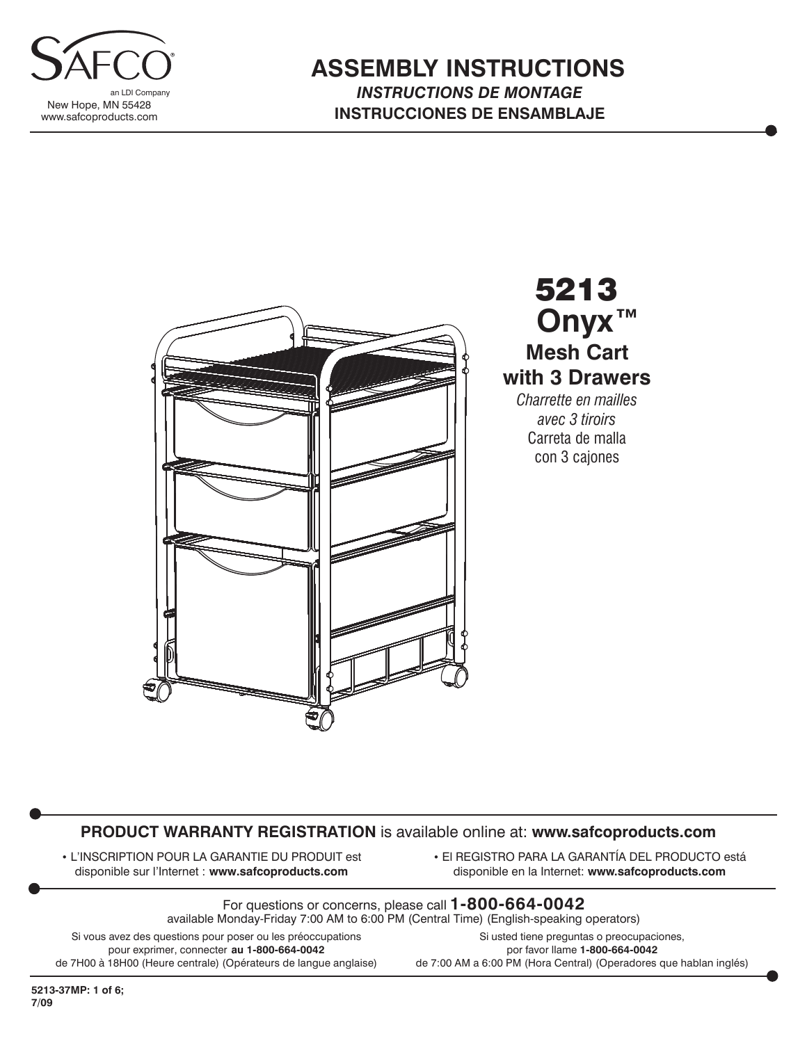

### **ASSEMBLY INSTRUCTIONS** *INSTRUCTIONS DE MONTAGE* **INSTRUCCIONES DE ENSAMBLAJE**



5213 **Mesh Cart with 3 Drawers** *Charrette en mailles avec 3 tiroirs* Carreta de malla **Onyx™**

con 3 cajones

#### **PRODUCT WARRANTY REGISTRATION** is available online at: **www.safcoproducts.com**

• L'INSCRIPTION POUR LA GARANTIE DU PRODUIT est disponible sur l'Internet : **www.safcoproducts.com**

• El REGISTRO PARA LA GARANTÍA DEL PRODUCTO está disponible en la Internet: **www.safcoproducts.com**

For questions or concerns, please call **1-800-664-0042** available Monday-Friday 7:00 AM to 6:00 PM (Central Time) (English-speaking operators)

Si vous avez des questions pour poser ou les préoccupations pour exprimer, connecter **au 1-800-664-0042** de 7H00 à 18H00 (Heure centrale) (Opérateurs de langue anglaise)

Si usted tiene preguntas o preocupaciones, por favor llame **1-800-664-0042** de 7:00 AM a 6:00 PM (Hora Central) (Operadores que hablan inglés)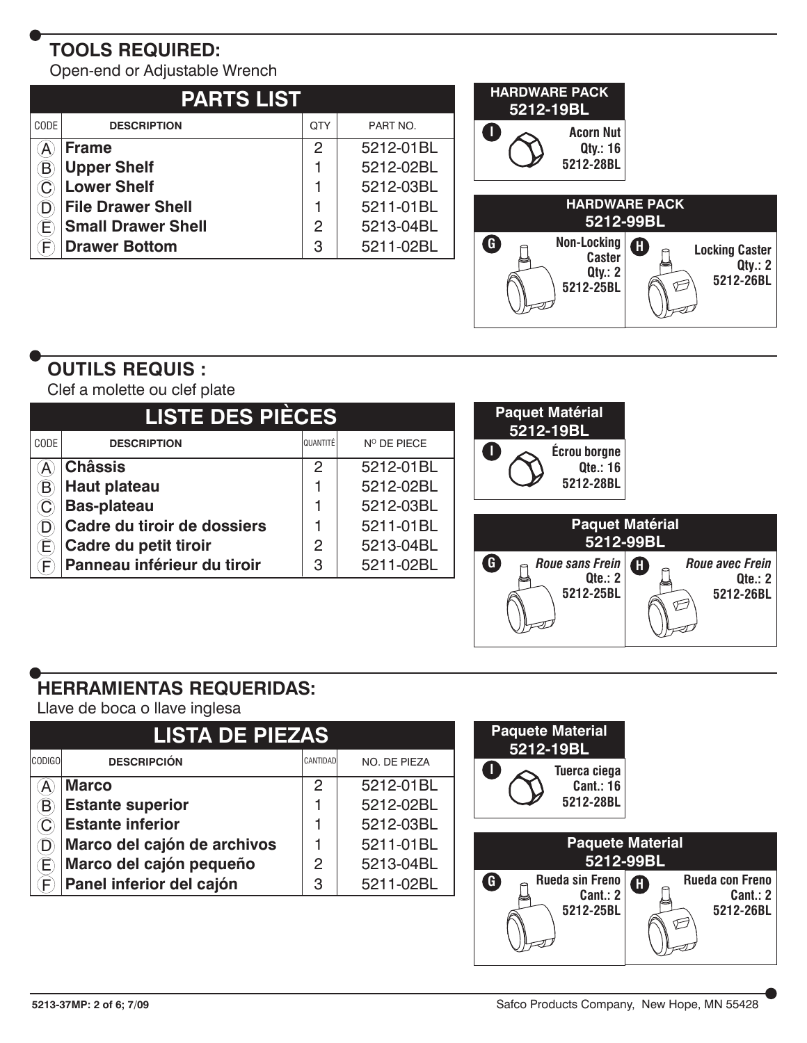# **TOOLS REQUIRED:**

Open-end or Adjustable Wrench

| <b>PARTS LIST</b> |                           |               |           |  |  |  |  |
|-------------------|---------------------------|---------------|-----------|--|--|--|--|
| CODE              | <b>DESCRIPTION</b>        | QTY           | PART NO.  |  |  |  |  |
|                   | <b>Frame</b>              | $\mathcal{P}$ | 5212-01BL |  |  |  |  |
|                   | <b>Upper Shelf</b>        |               | 5212-02BL |  |  |  |  |
|                   | <b>Lower Shelf</b>        |               | 5212-03BL |  |  |  |  |
|                   | <b>File Drawer Shell</b>  |               | 5211-01BL |  |  |  |  |
|                   | <b>Small Drawer Shell</b> | 2             | 5213-04BL |  |  |  |  |
|                   | <b>Drawer Bottom</b>      | 3             | 5211-02BL |  |  |  |  |



# **OUTILS REQUIS :**

Clef a molette ou clef plate

| <b>LISTE DES PIÈCES</b>      |                             |          |             | <b>Paquet Matérial</b><br>5212-19BL          |
|------------------------------|-----------------------------|----------|-------------|----------------------------------------------|
| CODE                         | <b>DESCRIPTION</b>          | QUANTITÉ | N° DE PIECE | Écrou borgne                                 |
| $\left( \mathsf{A}\right)$   | <b>Châssis</b>              | 2        | 5212-01BL   | <b>Qte.: 16</b>                              |
| $\bigcirc$                   | <b>Haut plateau</b>         |          | 5212-02BL   | 5212-28BL                                    |
|                              | <b>Bas-plateau</b>          |          | 5212-03BL   |                                              |
| $\left( \mathsf{D}\right)$   | Cadre du tiroir de dossiers |          | 5211-01BL   | <b>Paquet Matérial</b>                       |
| $\widehat{\mathsf{E}}$       | Cadre du petit tiroir       | 2        | 5213-04BL   | 5212-99BL                                    |
| $\langle \mathsf{F} \rangle$ | Panneau inférieur du tiroir | 3        | 5211-02BL   | G<br>Roue sans Frein<br>Roue avec Frein<br>A |
|                              |                             |          |             | Qte.: 2<br>Qte.: 2<br>5212-26BL<br>5212-25BL |

## **HERRAMIENTAS REQUERIDAS:**

Llave de boca o llave inglesa

| <b>LISTA DE PIEZAS</b> |                             |          |              |  |  |  |  |
|------------------------|-----------------------------|----------|--------------|--|--|--|--|
| <b>CODIGO</b>          | <b>DESCRIPCIÓN</b>          | CANTIDAD | NO. DE PIEZA |  |  |  |  |
|                        | <b>Marco</b>                | 2        | 5212-01BL    |  |  |  |  |
|                        | <b>Estante superior</b>     |          | 5212-02BL    |  |  |  |  |
|                        | <b>Estante inferior</b>     |          | 5212-03BL    |  |  |  |  |
|                        | Marco del cajón de archivos |          | 5211-01BL    |  |  |  |  |
|                        | Marco del cajón pequeño     | 2        | 5213-04BL    |  |  |  |  |
|                        | Panel inferior del cajón    | 3        | 5211-02BL    |  |  |  |  |

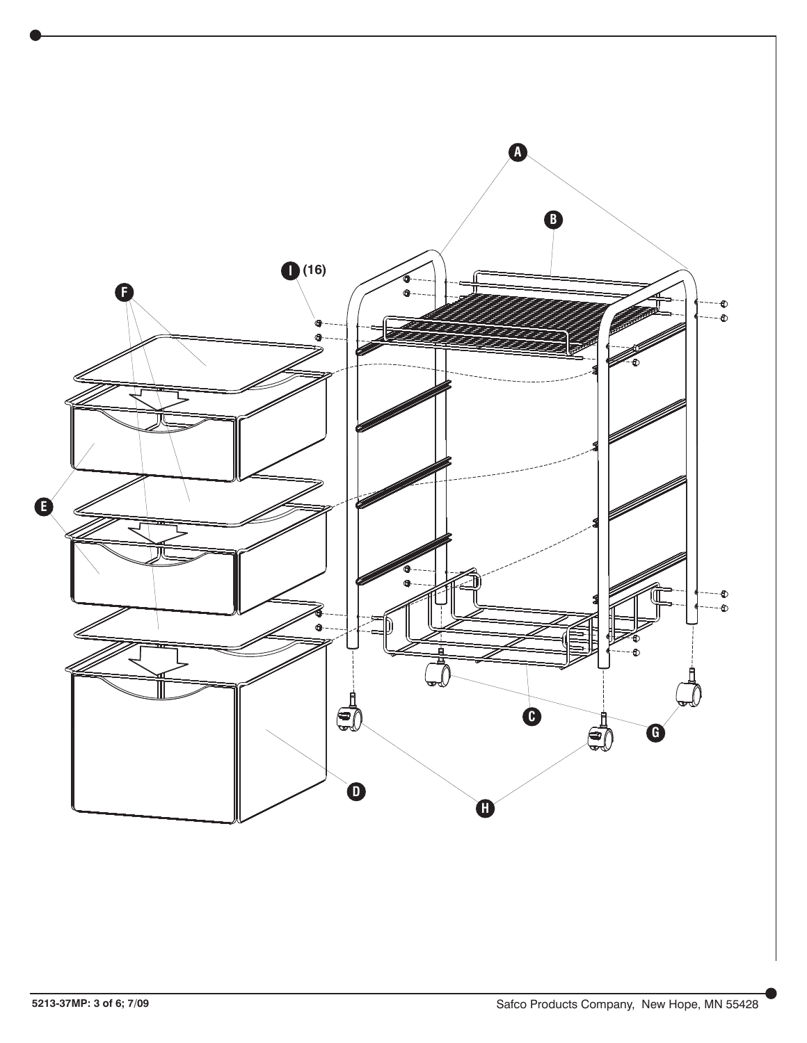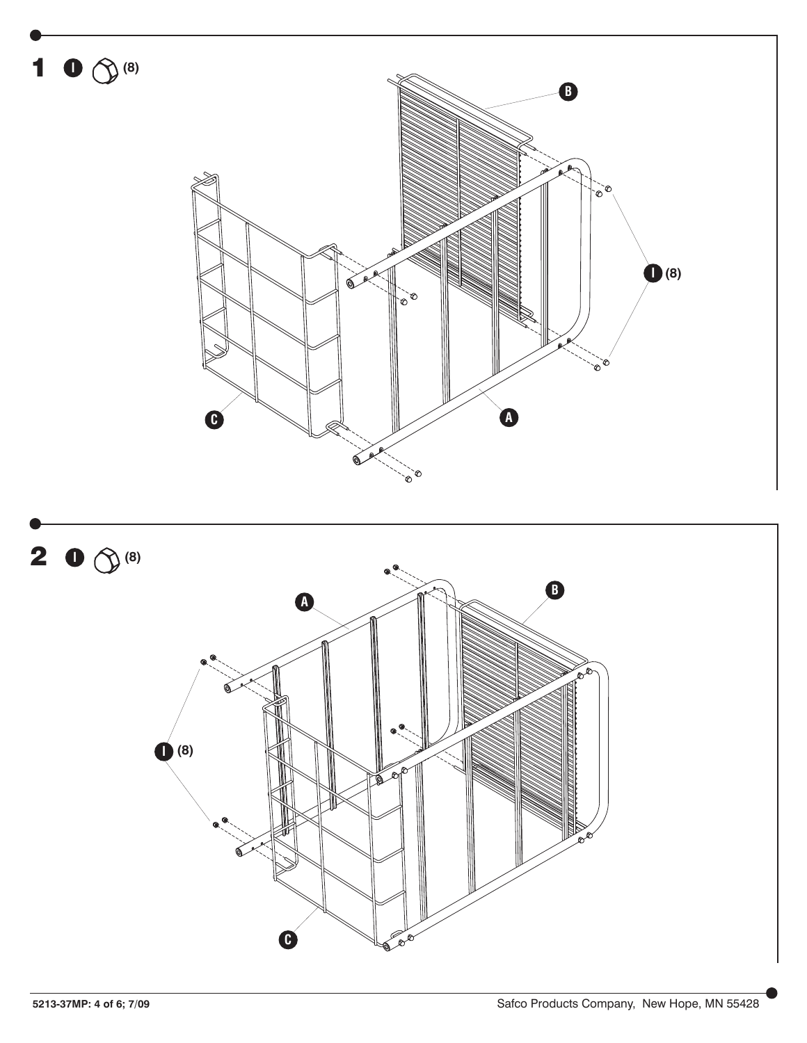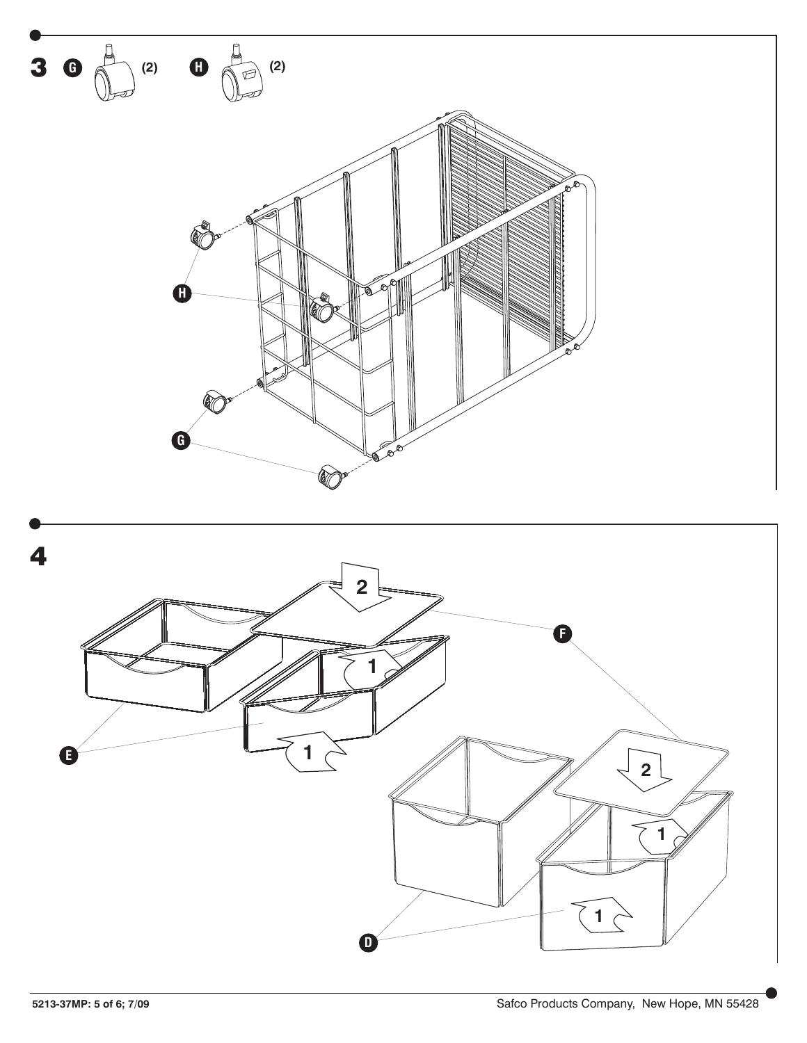